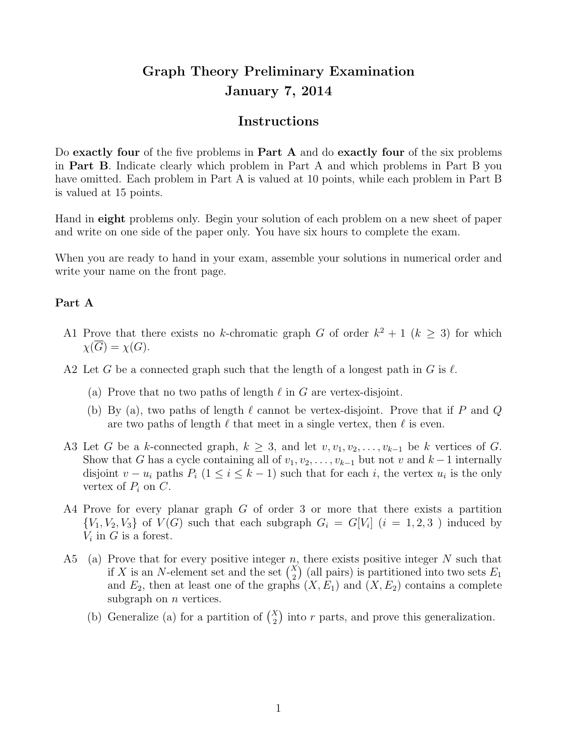## Graph Theory Preliminary Examination January 7, 2014

## Instructions

Do exactly four of the five problems in Part  $A$  and do exactly four of the six problems in Part B. Indicate clearly which problem in Part A and which problems in Part B you have omitted. Each problem in Part A is valued at 10 points, while each problem in Part B is valued at 15 points.

Hand in eight problems only. Begin your solution of each problem on a new sheet of paper and write on one side of the paper only. You have six hours to complete the exam.

When you are ready to hand in your exam, assemble your solutions in numerical order and write your name on the front page.

## Part A

- A1 Prove that there exists no k-chromatic graph G of order  $k^2 + 1$  ( $k \geq 3$ ) for which  $\chi(\overline{G}) = \chi(G).$
- A2 Let G be a connected graph such that the length of a longest path in G is  $\ell$ .
	- (a) Prove that no two paths of length  $\ell$  in G are vertex-disjoint.
	- (b) By (a), two paths of length  $\ell$  cannot be vertex-disjoint. Prove that if P and Q are two paths of length  $\ell$  that meet in a single vertex, then  $\ell$  is even.
- A3 Let G be a k-connected graph,  $k \geq 3$ , and let  $v, v_1, v_2, \ldots, v_{k-1}$  be k vertices of G. Show that G has a cycle containing all of  $v_1, v_2, \ldots, v_{k-1}$  but not v and  $k-1$  internally disjoint  $v - u_i$  paths  $P_i$  (1 ≤  $i \leq k - 1$ ) such that for each i, the vertex  $u_i$  is the only vertex of  $P_i$  on  $C$ .
- A4 Prove for every planar graph G of order 3 or more that there exists a partition  ${V_1, V_2, V_3}$  of  $V(G)$  such that each subgraph  $G_i = G[V_i]$   $(i = 1, 2, 3)$  induced by  $V_i$  in  $G$  is a forest.
- A5 (a) Prove that for every positive integer n, there exists positive integer N such that if X is an N-element set and the set  $\binom{X}{2}$  (all pairs) is partitioned into two sets  $E_1$ and  $E_2$ , then at least one of the graphs  $(X, E_1)$  and  $(X, E_2)$  contains a complete subgraph on  $n$  vertices.
	- (b) Generalize (a) for a partition of  $\binom{X}{2}$  into r parts, and prove this generalization.